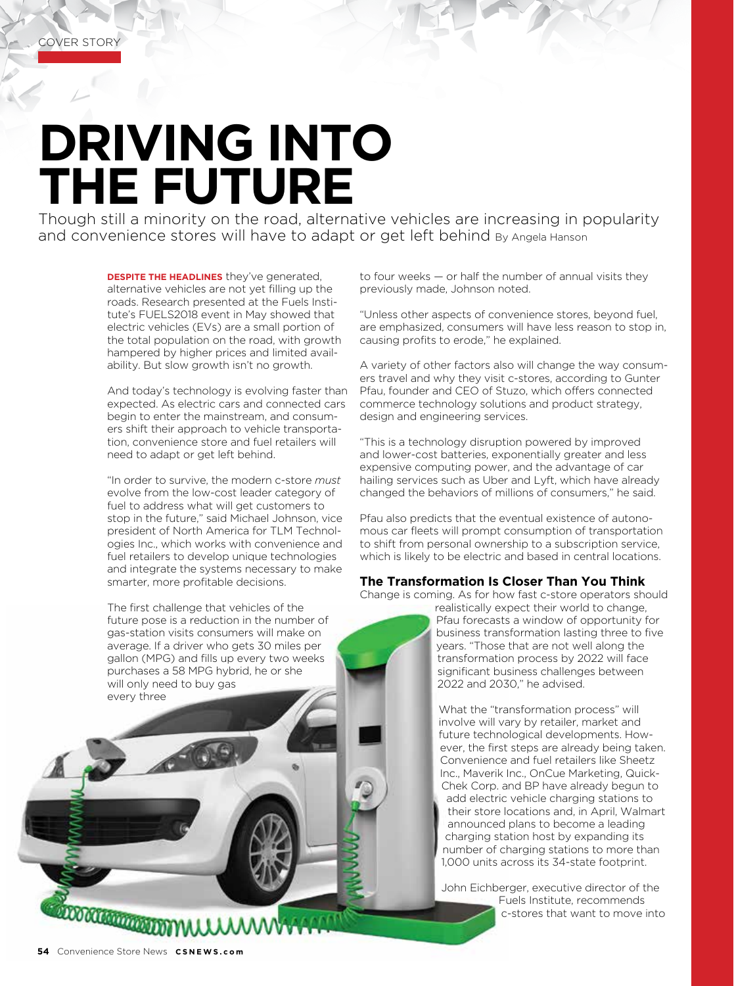## **DRIVING INTO THE FUTURE**

Though still a minority on the road, alternative vehicles are increasing in popularity and convenience stores will have to adapt or get left behind By Angela Hanson

> **DESPITE THE HEADLINES** they've generated, alternative vehicles are not yet filling up the roads. Research presented at the Fuels Institute's FUELS2018 event in May showed that electric vehicles (EVs) are a small portion of the total population on the road, with growth hampered by higher prices and limited availability. But slow growth isn't no growth.

And today's technology is evolving faster than expected. As electric cars and connected cars begin to enter the mainstream, and consumers shift their approach to vehicle transportation, convenience store and fuel retailers will need to adapt or get left behind.

"In order to survive, the modern c-store *must* evolve from the low-cost leader category of fuel to address what will get customers to stop in the future," said Michael Johnson, vice president of North America for TLM Technologies Inc., which works with convenience and fuel retailers to develop unique technologies and integrate the systems necessary to make smarter, more profitable decisions.

The first challenge that vehicles of the future pose is a reduction in the number of gas-station visits consumers will make on average. If a driver who gets 30 miles per gallon (MPG) and fills up every two weeks purchases a 58 MPG hybrid, he or she will only need to buy gas every three

to four weeks — or half the number of annual visits they previously made, Johnson noted.

"Unless other aspects of convenience stores, beyond fuel, are emphasized, consumers will have less reason to stop in, causing profits to erode," he explained.

A variety of other factors also will change the way consumers travel and why they visit c-stores, according to Gunter Pfau, founder and CEO of Stuzo, which offers connected commerce technology solutions and product strategy, design and engineering services.

"This is a technology disruption powered by improved and lower-cost batteries, exponentially greater and less expensive computing power, and the advantage of car hailing services such as Uber and Lyft, which have already changed the behaviors of millions of consumers," he said.

Pfau also predicts that the eventual existence of autonomous car fleets will prompt consumption of transportation to shift from personal ownership to a subscription service, which is likely to be electric and based in central locations.

## **The Transformation Is Closer Than You Think**

Change is coming. As for how fast c-store operators should

realistically expect their world to change, Pfau forecasts a window of opportunity for business transformation lasting three to five years. "Those that are not well along the transformation process by 2022 will face significant business challenges between 2022 and 2030," he advised.

What the "transformation process" will involve will vary by retailer, market and future technological developments. However, the first steps are already being taken. Convenience and fuel retailers like Sheetz Inc., Maverik Inc., OnCue Marketing, Quick-Chek Corp. and BP have already begun to add electric vehicle charging stations to their store locations and, in April, Walmart announced plans to become a leading charging station host by expanding its number of charging stations to more than 1,000 units across its 34-state footprint.

John Eichberger, executive director of the Fuels Institute, recommends c-stores that want to move into

**COMMONSTRATION WILL**